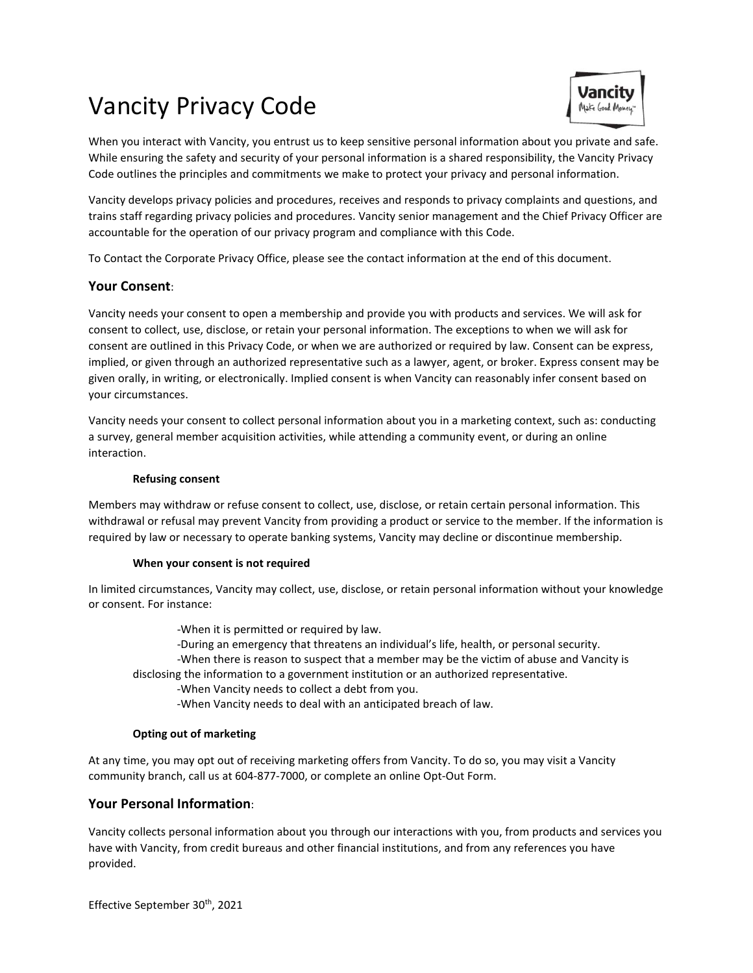# Vancity Privacy Code



When you interact with Vancity, you entrust us to keep sensitive personal information about you private and safe. While ensuring the safety and security of your personal information is a shared responsibility, the Vancity Privacy Code outlines the principles and commitments we make to protect your privacy and personal information.

Vancity develops privacy policies and procedures, receives and responds to privacy complaints and questions, and trains staff regarding privacy policies and procedures. Vancity senior management and the Chief Privacy Officer are accountable for the operation of our privacy program and compliance with this Code.

To Contact the Corporate Privacy Office, please see the contact information at the end of this document.

# **Your Consent**:

Vancity needs your consent to open a membership and provide you with products and services. We will ask for consent to collect, use, disclose, or retain your personal information. The exceptions to when we will ask for consent are outlined in this Privacy Code, or when we are authorized or required by law. Consent can be express, implied, or given through an authorized representative such as a lawyer, agent, or broker. Express consent may be given orally, in writing, or electronically. Implied consent is when Vancity can reasonably infer consent based on your circumstances.

Vancity needs your consent to collect personal information about you in a marketing context, such as: conducting a survey, general member acquisition activities, while attending a community event, or during an online interaction.

# **Refusing consent**

Members may withdraw or refuse consent to collect, use, disclose, or retain certain personal information. This withdrawal or refusal may prevent Vancity from providing a product or service to the member. If the information is required by law or necessary to operate banking systems, Vancity may decline or discontinue membership.

# **When your consent is not required**

In limited circumstances, Vancity may collect, use, disclose, or retain personal information without your knowledge or consent. For instance:

-When it is permitted or required by law.

-During an emergency that threatens an individual's life, health, or personal security.

-When there is reason to suspect that a member may be the victim of abuse and Vancity is disclosing the information to a government institution or an authorized representative.

-When Vancity needs to collect a debt from you.

-When Vancity needs to deal with an anticipated breach of law.

# **Opting out of marketing**

At any time, you may opt out of receiving marketing offers from Vancity. To do so, you may visit a Vancity community branch, call us at 604-877-7000, or complete an online Opt-Out Form.

# **Your Personal Information**:

Vancity collects personal information about you through our interactions with you, from products and services you have with Vancity, from credit bureaus and other financial institutions, and from any references you have provided.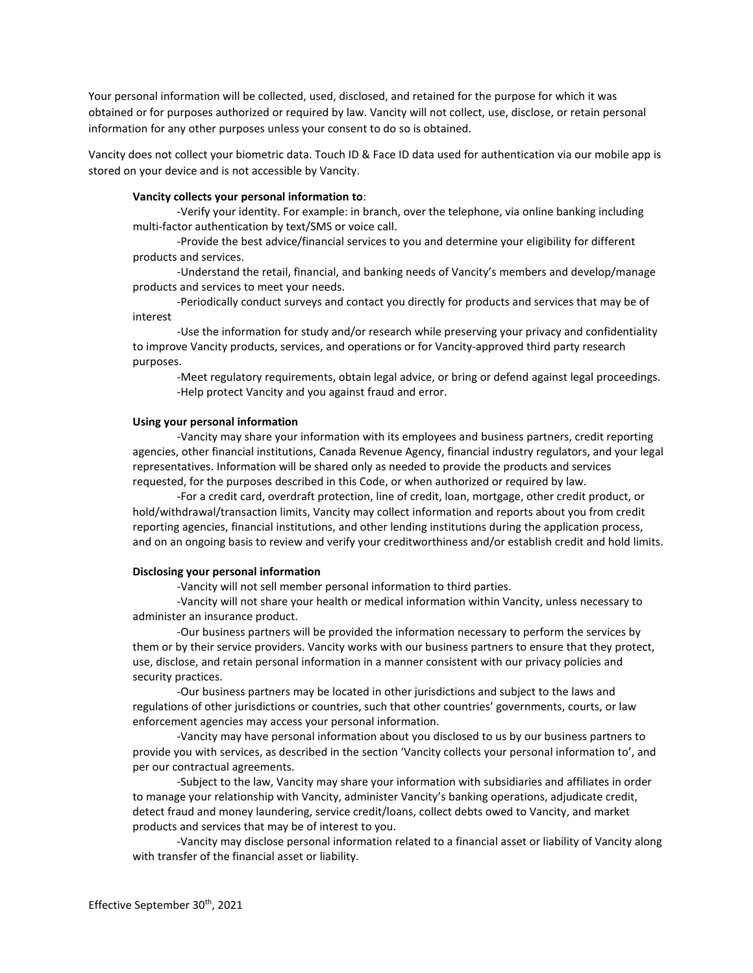Your personal information will be collected, used, disclosed, and retained for the purpose for which it was obtained or for purposes authorized or required by law. Vancity will not collect, use, disclose, or retain personal information for any other purposes unless your consent to do so is obtained.

Vancity does not collect your biometric data. Touch ID & Face ID data used for authentication via our mobile app is stored on your device and is not accessible by Vancity.

#### **Vancity collects your personal information to**:

-Verify your identity. For example: in branch, over the telephone, via online banking including multi-factor authentication by text/SMS or voice call.

-Provide the best advice/financial services to you and determine your eligibility for different products and services.

-Understand the retail, financial, and banking needs of Vancity's members and develop/manage products and services to meet your needs.

-Periodically conduct surveys and contact you directly for products and services that may be of interest

-Use the information for study and/or research while preserving your privacy and confidentiality to improve Vancity products, services, and operations or for Vancity-approved third party research purposes.

-Meet regulatory requirements, obtain legal advice, or bring or defend against legal proceedings. -Help protect Vancity and you against fraud and error.

#### **Using your personal information**

-Vancity may share your information with its employees and business partners, credit reporting agencies, other financial institutions, Canada Revenue Agency, financial industry regulators, and your legal representatives. Information will be shared only as needed to provide the products and services requested, for the purposes described in this Code, or when authorized or required by law.

-For a credit card, overdraft protection, line of credit, loan, mortgage, other credit product, or hold/withdrawal/transaction limits, Vancity may collect information and reports about you from credit reporting agencies, financial institutions, and other lending institutions during the application process, and on an ongoing basis to review and verify your creditworthiness and/or establish credit and hold limits.

#### **Disclosing your personal information**

-Vancity will not sell member personal information to third parties.

-Vancity will not share your health or medical information within Vancity, unless necessary to administer an insurance product.

-Our business partners will be provided the information necessary to perform the services by them or by their service providers. Vancity works with our business partners to ensure that they protect, use, disclose, and retain personal information in a manner consistent with our privacy policies and security practices.

-Our business partners may be located in other jurisdictions and subject to the laws and regulations of other jurisdictions or countries, such that other countries' governments, courts, or law enforcement agencies may access your personal information.

-Vancity may have personal information about you disclosed to us by our business partners to provide you with services, as described in the section 'Vancity collects your personal information to', and per our contractual agreements.

-Subject to the law, Vancity may share your information with subsidiaries and affiliates in order to manage your relationship with Vancity, administer Vancity's banking operations, adjudicate credit, detect fraud and money laundering, service credit/loans, collect debts owed to Vancity, and market products and services that may be of interest to you.

-Vancity may disclose personal information related to a financial asset or liability of Vancity along with transfer of the financial asset or liability.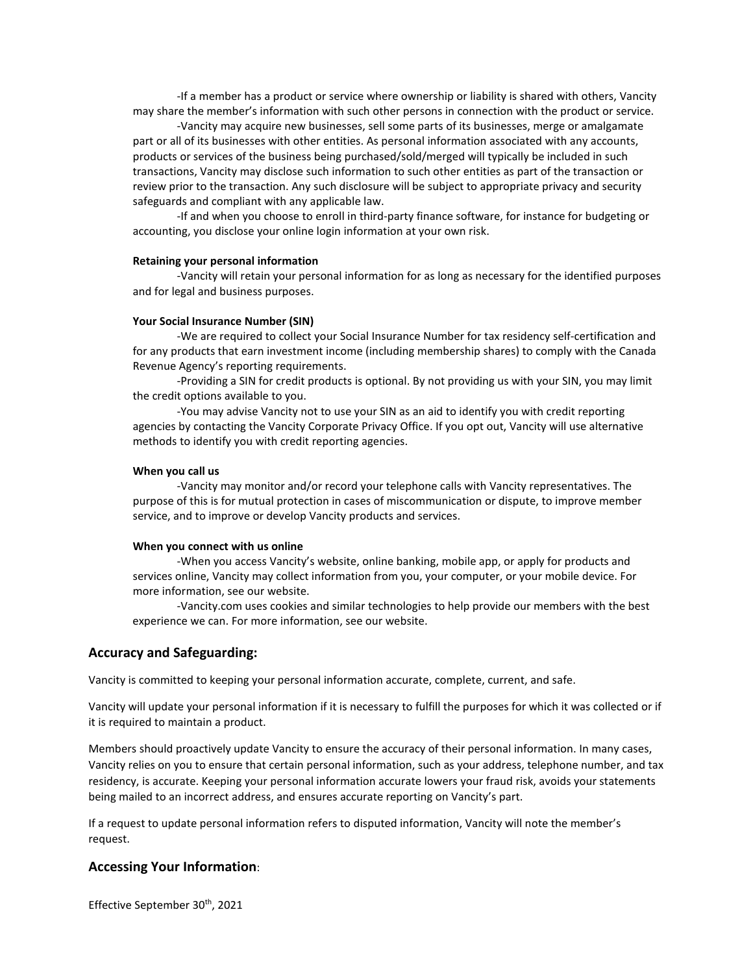-If a member has a product or service where ownership or liability is shared with others, Vancity may share the member's information with such other persons in connection with the product or service.

-Vancity may acquire new businesses, sell some parts of its businesses, merge or amalgamate part or all of its businesses with other entities. As personal information associated with any accounts, products or services of the business being purchased/sold/merged will typically be included in such transactions, Vancity may disclose such information to such other entities as part of the transaction or review prior to the transaction. Any such disclosure will be subject to appropriate privacy and security safeguards and compliant with any applicable law.

-If and when you choose to enroll in third-party finance software, for instance for budgeting or accounting, you disclose your online login information at your own risk.

#### **Retaining your personal information**

-Vancity will retain your personal information for as long as necessary for the identified purposes and for legal and business purposes.

#### **Your Social Insurance Number (SIN)**

-We are required to collect your Social Insurance Number for tax residency self-certification and for any products that earn investment income (including membership shares) to comply with the Canada Revenue Agency's reporting requirements.

-Providing a SIN for credit products is optional. By not providing us with your SIN, you may limit the credit options available to you.

-You may advise Vancity not to use your SIN as an aid to identify you with credit reporting agencies by contacting the Vancity Corporate Privacy Office. If you opt out, Vancity will use alternative methods to identify you with credit reporting agencies.

#### **When you call us**

-Vancity may monitor and/or record your telephone calls with Vancity representatives. The purpose of this is for mutual protection in cases of miscommunication or dispute, to improve member service, and to improve or develop Vancity products and services.

#### **When you connect with us online**

-When you access Vancity's website, online banking, mobile app, or apply for products and services online, Vancity may collect information from you, your computer, or your mobile device. For more information, see our website.

-Vancity.com uses cookies and similar technologies to help provide our members with the best experience we can. For more information, see our website.

## **Accuracy and Safeguarding:**

Vancity is committed to keeping your personal information accurate, complete, current, and safe.

Vancity will update your personal information if it is necessary to fulfill the purposes for which it was collected or if it is required to maintain a product.

Members should proactively update Vancity to ensure the accuracy of their personal information. In many cases, Vancity relies on you to ensure that certain personal information, such as your address, telephone number, and tax residency, is accurate. Keeping your personal information accurate lowers your fraud risk, avoids your statements being mailed to an incorrect address, and ensures accurate reporting on Vancity's part.

If a request to update personal information refers to disputed information, Vancity will note the member's request.

### **Accessing Your Information**:

Effective September 30<sup>th</sup>, 2021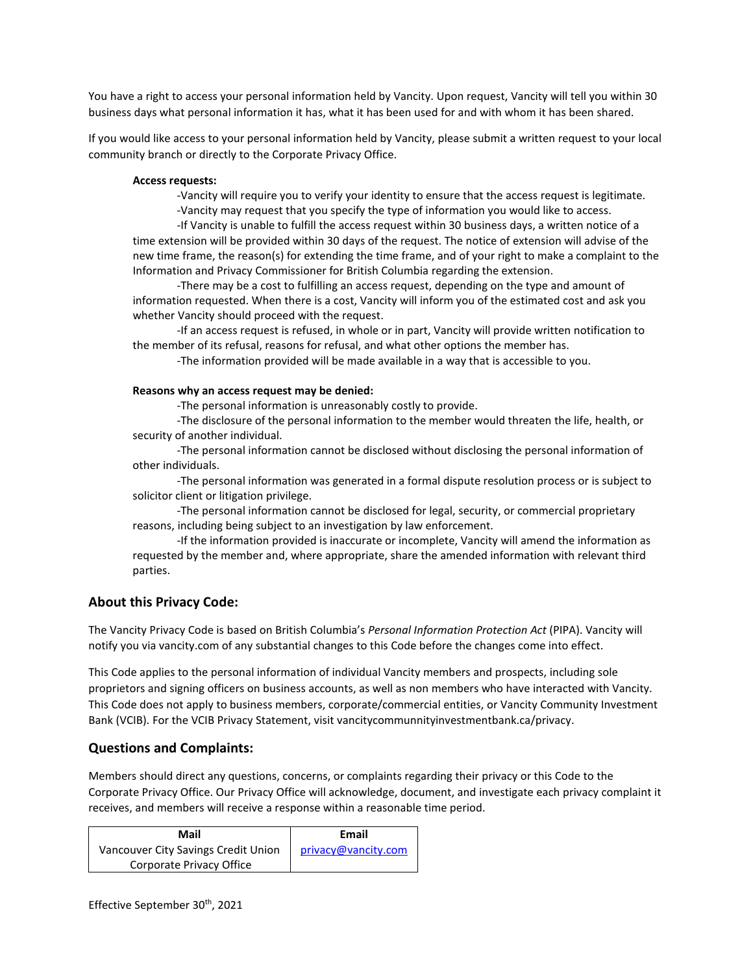You have a right to access your personal information held by Vancity. Upon request, Vancity will tell you within 30 business days what personal information it has, what it has been used for and with whom it has been shared.

If you would like access to your personal information held by Vancity, please submit a written request to your local community branch or directly to the Corporate Privacy Office.

#### **Access requests:**

-Vancity will require you to verify your identity to ensure that the access request is legitimate. -Vancity may request that you specify the type of information you would like to access.

-If Vancity is unable to fulfill the access request within 30 business days, a written notice of a time extension will be provided within 30 days of the request. The notice of extension will advise of the new time frame, the reason(s) for extending the time frame, and of your right to make a complaint to the Information and Privacy Commissioner for British Columbia regarding the extension.

-There may be a cost to fulfilling an access request, depending on the type and amount of information requested. When there is a cost, Vancity will inform you of the estimated cost and ask you whether Vancity should proceed with the request.

-If an access request is refused, in whole or in part, Vancity will provide written notification to the member of its refusal, reasons for refusal, and what other options the member has.

-The information provided will be made available in a way that is accessible to you.

## **Reasons why an access request may be denied:**

-The personal information is unreasonably costly to provide.

-The disclosure of the personal information to the member would threaten the life, health, or security of another individual.

-The personal information cannot be disclosed without disclosing the personal information of other individuals.

-The personal information was generated in a formal dispute resolution process or is subject to solicitor client or litigation privilege.

-The personal information cannot be disclosed for legal, security, or commercial proprietary reasons, including being subject to an investigation by law enforcement.

-If the information provided is inaccurate or incomplete, Vancity will amend the information as requested by the member and, where appropriate, share the amended information with relevant third parties.

# **About this Privacy Code:**

The Vancity Privacy Code is based on British Columbia's *Personal Information Protection Act* (PIPA). Vancity will notify you via vancity.com of any substantial changes to this Code before the changes come into effect.

This Code applies to the personal information of individual Vancity members and prospects, including sole proprietors and signing officers on business accounts, as well as non members who have interacted with Vancity. This Code does not apply to business members, corporate/commercial entities, or Vancity Community Investment Bank (VCIB). For the VCIB Privacy Statement, visit vancitycommunnityinvestmentbank.ca/privacy.

# **Questions and Complaints:**

Members should direct any questions, concerns, or complaints regarding their privacy or this Code to the Corporate Privacy Office. Our Privacy Office will acknowledge, document, and investigate each privacy complaint it receives, and members will receive a response within a reasonable time period.

| Mail                                | Email               |
|-------------------------------------|---------------------|
| Vancouver City Savings Credit Union | privacy@vancity.com |
| Corporate Privacy Office            |                     |